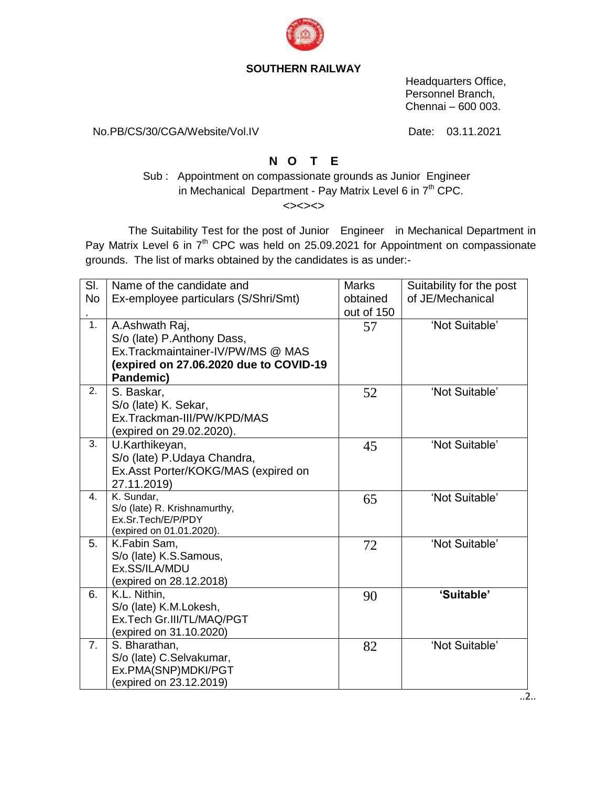

## **SOUTHERN RAILWAY**

 Headquarters Office, Personnel Branch, Chennai – 600 003.

No.PB/CS/30/CGA/Website/Vol.IV Date: 03.11.2021

## **N O T E**

Sub : Appointment on compassionate grounds as Junior Engineer in Mechanical Department - Pay Matrix Level 6 in  $7<sup>th</sup>$  CPC.

<><><>

 The Suitability Test for the post of Junior Engineer in Mechanical Department in Pay Matrix Level 6 in 7<sup>th</sup> CPC was held on 25.09.2021 for Appointment on compassionate grounds. The list of marks obtained by the candidates is as under:-

| SI.<br><b>No</b> | Name of the candidate and<br>Ex-employee particulars (S/Shri/Smt)                                                                        | <b>Marks</b><br>obtained<br>out of 150 | Suitability for the post<br>of JE/Mechanical |
|------------------|------------------------------------------------------------------------------------------------------------------------------------------|----------------------------------------|----------------------------------------------|
| 1.               | A.Ashwath Raj,<br>S/o (late) P.Anthony Dass,<br>Ex.Trackmaintainer-IV/PW/MS @ MAS<br>(expired on 27.06.2020 due to COVID-19<br>Pandemic) | 57                                     | 'Not Suitable'                               |
| 2.               | S. Baskar,<br>S/o (late) K. Sekar,<br>Ex.Trackman-III/PW/KPD/MAS<br>(expired on 29.02.2020).                                             | 52                                     | 'Not Suitable'                               |
| 3.               | U.Karthikeyan,<br>S/o (late) P.Udaya Chandra,<br>Ex.Asst Porter/KOKG/MAS (expired on<br>27.11.2019)                                      | 45                                     | 'Not Suitable'                               |
| $\mathbf{4}$ .   | K. Sundar,<br>S/o (late) R. Krishnamurthy,<br>Ex.Sr.Tech/E/P/PDY<br>(expired on 01.01.2020).                                             | 65                                     | 'Not Suitable'                               |
| 5.               | K.Fabin Sam,<br>S/o (late) K.S.Samous,<br>Ex.SS/ILA/MDU<br>(expired on 28.12.2018)                                                       | 72                                     | 'Not Suitable'                               |
| 6.               | K.L. Nithin,<br>S/o (late) K.M.Lokesh,<br>Ex.Tech Gr.III/TL/MAQ/PGT<br>(expired on 31.10.2020)                                           | 90                                     | 'Suitable'                                   |
| 7.               | S. Bharathan,<br>S/o (late) C.Selvakumar,<br>Ex.PMA(SNP)MDKI/PGT<br>(expired on 23.12.2019)                                              | 82                                     | 'Not Suitable'                               |

..2..